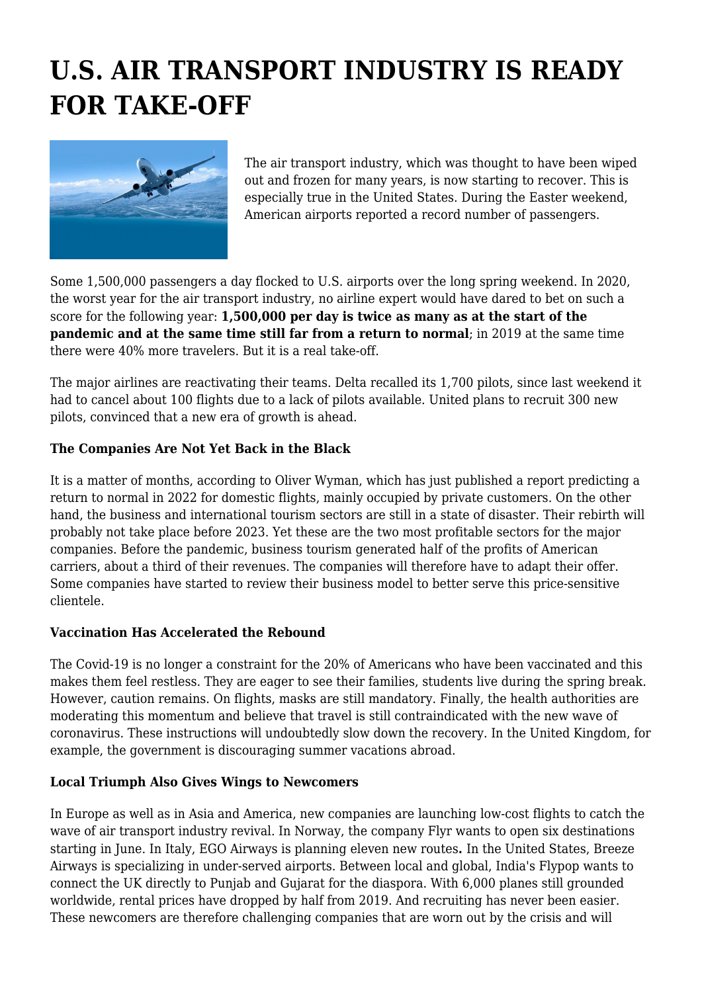# **U.S. AIR TRANSPORT INDUSTRY IS READY FOR TAKE-OFF**



The air transport industry, which was thought to have been wiped out and frozen for many years, is now starting to recover. This is especially true in the United States. During the Easter weekend, American airports reported a record number of passengers.

Some 1,500,000 passengers a day flocked to U.S. airports over the long spring weekend. In 2020, the worst year for the air transport industry, no airline expert would have dared to bet on such a score for the following year: **1,500,000 per day is twice as many as at the start of the pandemic and at the same time still far from a return to normal**; in 2019 at the same time there were 40% more travelers. But it is a real take-off.

The major airlines are reactivating their teams. Delta recalled its 1,700 pilots, since last weekend it had to cancel about 100 flights due to a lack of pilots available. United plans to recruit 300 new pilots, convinced that a new era of growth is ahead.

### **The Companies Are Not Yet Back in the Black**

It is a matter of months, according to Oliver Wyman, which has just published a report predicting a return to normal in 2022 for domestic flights, mainly occupied by private customers. On the other hand, the business and international tourism sectors are still in a state of disaster. Their rebirth will probably not take place before 2023. Yet these are the two most profitable sectors for the major companies. Before the pandemic, business tourism generated half of the profits of American carriers, about a third of their revenues. The companies will therefore have to adapt their offer. Some companies have started to review their business model to better serve this price-sensitive clientele.

#### **Vaccination Has Accelerated the Rebound**

The Covid-19 is no longer a constraint for the 20% of Americans who have been vaccinated and this makes them feel restless. They are eager to see their families, students live during the spring break. However, caution remains. On flights, masks are still mandatory. Finally, the health authorities are moderating this momentum and believe that travel is still contraindicated with the new wave of coronavirus. These instructions will undoubtedly slow down the recovery. In the United Kingdom, for example, the government is discouraging summer vacations abroad.

#### **Local Triumph Also Gives Wings to Newcomers**

In Europe as well as in Asia and America, new companies are launching low-cost flights to catch the wave of air transport industry revival. In Norway, the company Flyr wants to open six destinations starting in June. In Italy, EGO Airways is planning eleven new routes**.** In the United States, Breeze Airways is specializing in under-served airports. Between local and global, India's Flypop wants to connect the UK directly to Punjab and Gujarat for the diaspora. With 6,000 planes still grounded worldwide, rental prices have dropped by half from 2019. And recruiting has never been easier. These newcomers are therefore challenging companies that are worn out by the crisis and will